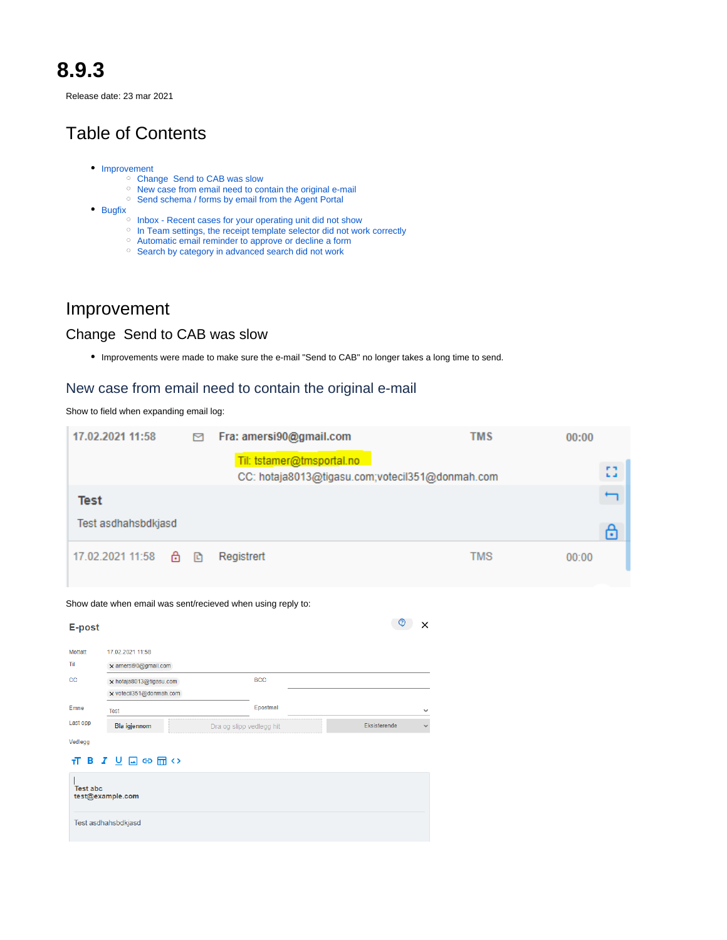# **8.9.3**

Release date: 23 mar 2021

# Table of Contents

- [Improvement](#page-0-0)
	- [Change Send to CAB was slow](#page-0-1)
	- <sup>o</sup> [New case from email need to contain the original e-mail](#page-0-2)
	- <sup>o</sup> [Send schema / forms by email from the Agent Portal](#page-1-0)
- [Bugfix](#page-3-0)
	- <sup>o</sup> [Inbox Recent cases for your operating unit did not show](#page-3-1)
	- <sup>o</sup> [In Team settings, the receipt template selector did not work correctly](#page-4-0)
	- [Automatic email reminder to approve or decline a form](#page-4-1)
	- <sup>o</sup> [Search by category in advanced search did not work](#page-4-2)

## <span id="page-0-0"></span>Improvement

## <span id="page-0-1"></span>Change Send to CAB was slow

Improvements were made to make sure the e-mail "Send to CAB" no longer takes a long time to send.

## <span id="page-0-2"></span>New case from email need to contain the original e-mail

Show to field when expanding email log:

|             | 17.02.2021 11:58                                   |   | 罓            | Fra: amersi90@gmail.com                                     |                                                 |              | TMS | 00:00 |     |
|-------------|----------------------------------------------------|---|--------------|-------------------------------------------------------------|-------------------------------------------------|--------------|-----|-------|-----|
|             |                                                    |   |              | Til: tstamer@tmsportal.no                                   |                                                 |              |     |       | n n |
|             |                                                    |   |              |                                                             | CC: hotaja8013@tigasu.com;votecil351@donmah.com |              |     |       | шá  |
| <b>Test</b> |                                                    |   |              |                                                             |                                                 |              |     |       |     |
|             | Test asdhahsbdkjasd                                |   |              |                                                             |                                                 |              |     |       | ⊕   |
|             | 17.02.2021 11:58                                   | ⊕ | $\mathbb{F}$ | Registrert                                                  |                                                 |              | TMS | 00:00 |     |
|             |                                                    |   |              |                                                             |                                                 |              |     |       |     |
| E-post      |                                                    |   |              | Show date when email was sent/recieved when using reply to: | $\circledcirc$                                  | $\mathbf{X}$ |     |       |     |
| Mottatt     | 17.02.2021 11:58                                   |   |              |                                                             |                                                 |              |     |       |     |
| Til         | x amersi90@gmail.com                               |   |              |                                                             |                                                 |              |     |       |     |
| $_{\rm cc}$ | x hotaja8013@tigasu.com<br>x votecil351@donmah.com |   |              | <b>BCC</b>                                                  |                                                 |              |     |       |     |
| Emne        | Test                                               |   |              | Epostmal                                                    |                                                 | $\checkmark$ |     |       |     |
| Last opp    | Bla igjennom                                       |   |              | Dra og slipp vedlegg hit                                    | Eksisterende                                    | $\checkmark$ |     |       |     |

#### $\overline{\mathbf{H}}$  B  $I \cup \Box \oplus \Box \ominus$

| <b>Test abc</b><br>test@example.com |  |  |
|-------------------------------------|--|--|
| Test asdhahsbdkjasd                 |  |  |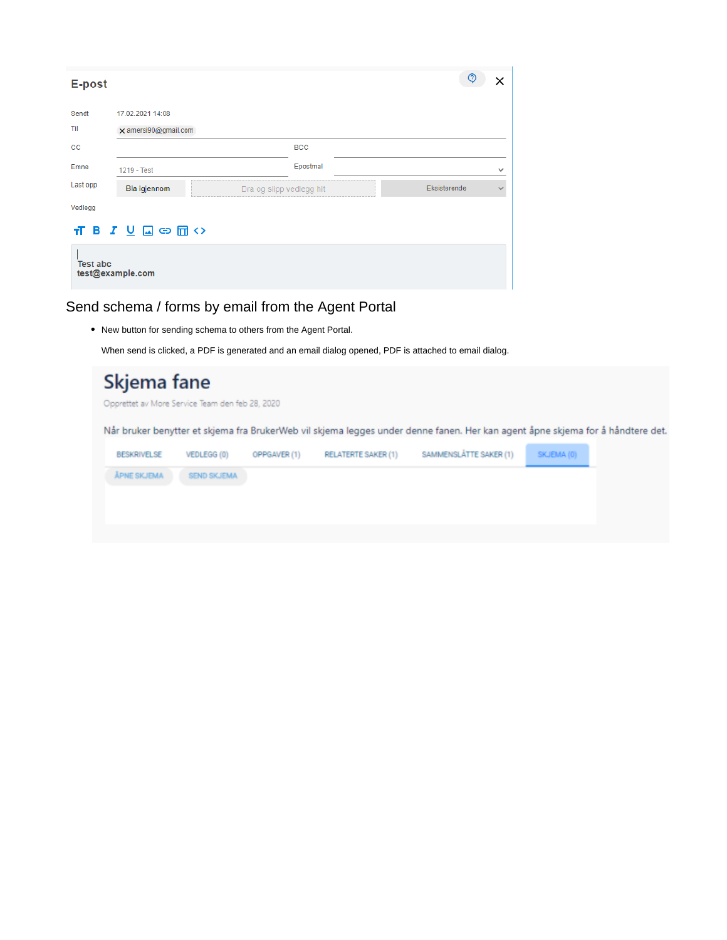| E-post          |                                                                   | ②            |              |
|-----------------|-------------------------------------------------------------------|--------------|--------------|
| Sendt           | 17.02.2021 14:08                                                  |              |              |
| Til             | x amersi90@gmail.com                                              |              |              |
| $_{\rm cc}$     |                                                                   | <b>BCC</b>   |              |
| Emne            | 1219 - Test                                                       | Epostmal     | $\checkmark$ |
| Last opp        | Bla igjennom<br>Dra og slipp vedlegg hit                          | Eksisterende | $\checkmark$ |
| Vedlegg         |                                                                   |              |              |
|                 | $\overline{\mathbf{H}}$ <b>B</b> $I \cup \Box \oplus \Box \oplus$ |              |              |
| <b>Test abc</b> | test@example.com                                                  |              |              |

<span id="page-1-0"></span>Send schema / forms by email from the Agent Portal

New button for sending schema to others from the Agent Portal.

When send is clicked, a PDF is generated and an email dialog opened, PDF is attached to email dialog.

| Skjema fane<br>Opprettet av More Service Team den feb 28, 2020 |              |                            |                        |            |                                                                                                                                |  |  |  |  |
|----------------------------------------------------------------|--------------|----------------------------|------------------------|------------|--------------------------------------------------------------------------------------------------------------------------------|--|--|--|--|
|                                                                |              |                            |                        |            |                                                                                                                                |  |  |  |  |
| VEDLEGG (0)                                                    | OPPGAVER (1) | <b>RELATERTE SAKER (1)</b> | SAMMENSLÅTTE SAKER (1) | SKJEMA (0) |                                                                                                                                |  |  |  |  |
| <b>SEND SKJEMA</b>                                             |              |                            |                        |            |                                                                                                                                |  |  |  |  |
|                                                                |              |                            |                        |            |                                                                                                                                |  |  |  |  |
|                                                                |              |                            |                        |            |                                                                                                                                |  |  |  |  |
|                                                                |              |                            |                        |            | Når bruker benytter et skjema fra BrukerWeb vil skjema legges under denne fanen. Her kan agent åpne skjema for å håndtere det. |  |  |  |  |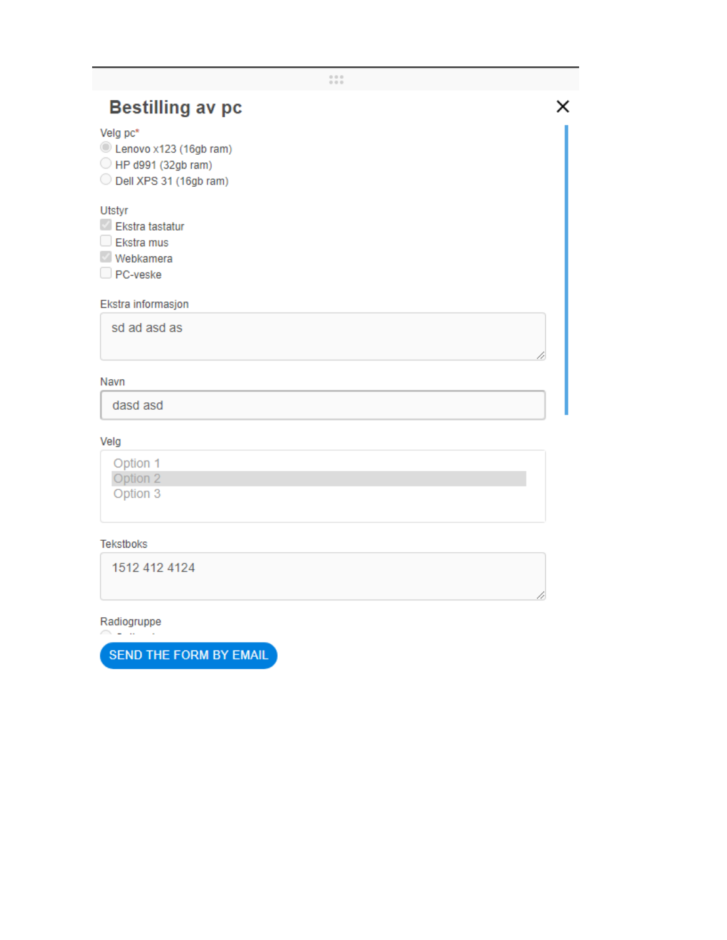| <b>Bestilling av pc</b>                                                            |  |
|------------------------------------------------------------------------------------|--|
| Velg pc*<br>Lenovo x123 (16gb ram)<br>HP d991 (32gb ram)<br>Dell XPS 31 (16gb ram) |  |
| <b>Utstyr</b><br>Ekstra tastatur<br>$\Box$ Ekstra mus<br>Webkamera<br>PC-veske     |  |
| Ekstra informasjon                                                                 |  |
| sd ad asd as                                                                       |  |

 $\begin{smallmatrix} 0 & 0 & 0 \\ 0 & 0 & 0 \end{smallmatrix}$ 

#### Navn

dasd asd

#### Velg

| Option 1 |  |  |  |
|----------|--|--|--|
| Option 2 |  |  |  |
| Option 3 |  |  |  |
|          |  |  |  |

### Tekstboks

1512 412 4124

### Radiogruppe

 $\sim$   $-$ 

SEND THE FORM BY EMAIL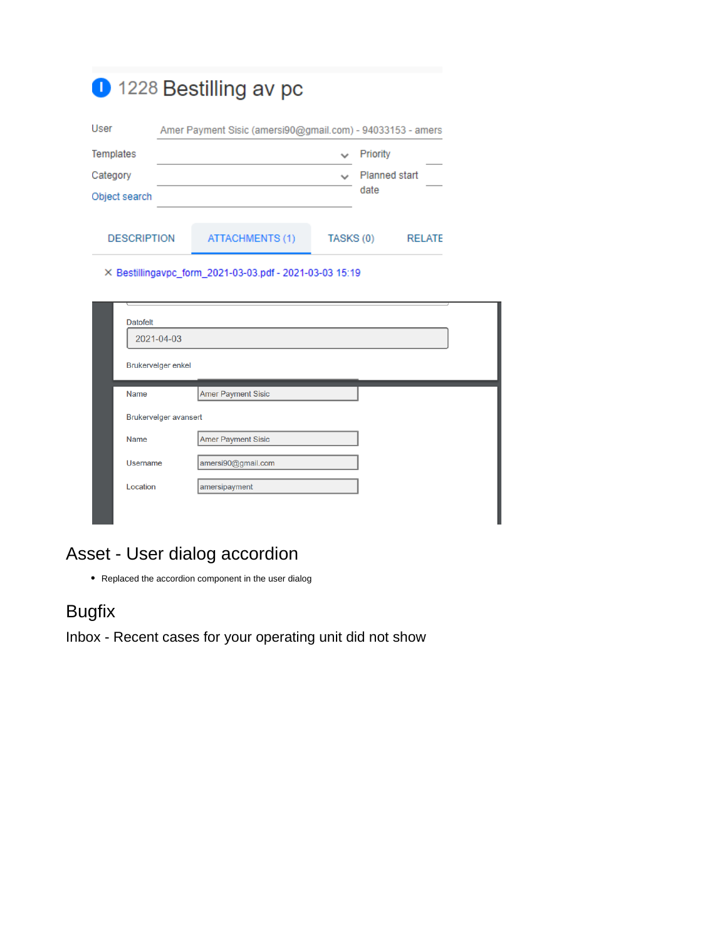|                    | 1228 Bestilling av pc                                      |           |                      |               |
|--------------------|------------------------------------------------------------|-----------|----------------------|---------------|
| User               | Amer Payment Sisic (amersi90@gmail.com) - 94033153 - amers |           |                      |               |
| Templates          |                                                            |           | Priority             |               |
| Category           |                                                            |           | <b>Planned start</b> |               |
| Object search      |                                                            |           | date                 |               |
| <b>DESCRIPTION</b> | <b>ATTACHMENTS (1)</b>                                     | TASKS (0) |                      | <b>RELATE</b> |

X Bestillingavpc\_form\_2021-03-03.pdf - 2021-03-03 15:19

| <b>Datofelt</b><br>2021-04-03 |                           |  |
|-------------------------------|---------------------------|--|
| <b>Brukervelger enkel</b>     |                           |  |
| <b>Name</b>                   | <b>Amer Payment Sisic</b> |  |
| Brukervelger avansert         |                           |  |
| <b>Name</b>                   | <b>Amer Payment Sisic</b> |  |
| <b>Username</b>               | amersi90@gmail.com        |  |
| Location                      | amersipayment             |  |

## Asset - User dialog accordion

Replaced the accordion component in the user dialog

# <span id="page-3-0"></span>Bugfix

<span id="page-3-1"></span>Inbox - Recent cases for your operating unit did not show